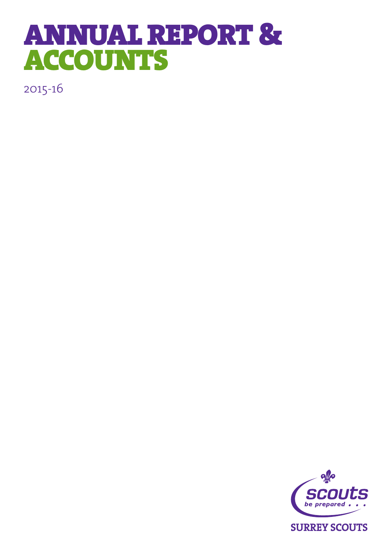# ANNUAL REPORT & ACCOUNTS

2015-16

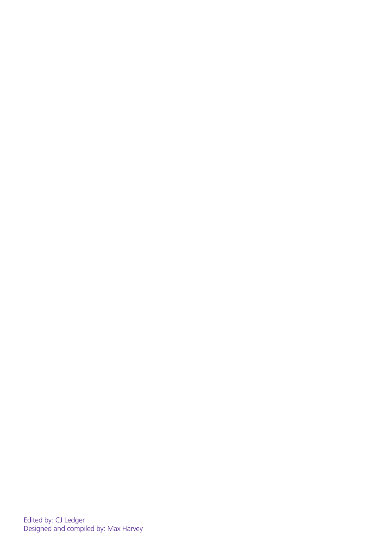Edited by: CJ Ledger Designed and compiled by: Max Harvey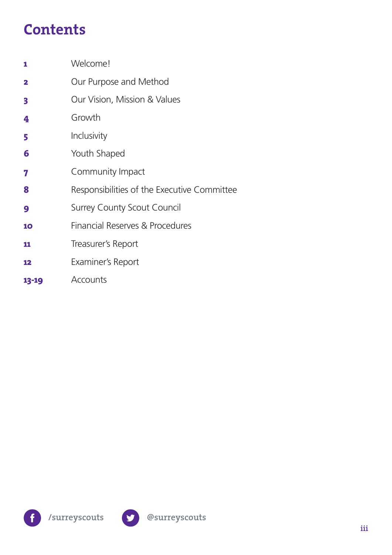### **Contents**

| 1                       | Welcome!                                    |
|-------------------------|---------------------------------------------|
| $\overline{\mathbf{2}}$ | Our Purpose and Method                      |
| 3                       | Our Vision, Mission & Values                |
| 4                       | Growth                                      |
| 5                       | Inclusivity                                 |
| 6                       | Youth Shaped                                |
| 7                       | Community Impact                            |
| 8                       | Responsibilities of the Executive Committee |
| 9                       | <b>Surrey County Scout Council</b>          |
| 10                      | Financial Reserves & Procedures             |
| 11                      | Treasurer's Report                          |
| 12                      | Examiner's Report                           |
| 13-19                   | Accounts                                    |



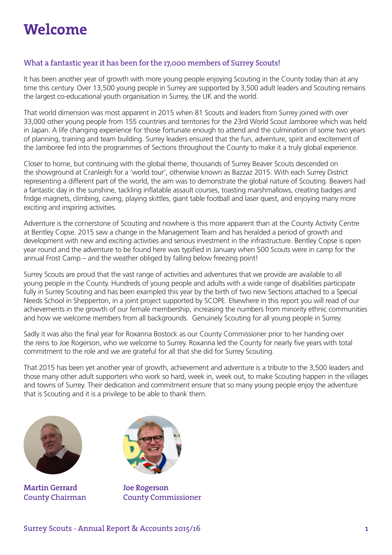### **Welcome**

### What a fantastic year it has been for the 17,000 members of Surrey Scouts!

It has been another year of growth with more young people enjoying Scouting in the County today than at any time this century. Over 13,500 young people in Surrey are supported by 3,500 adult leaders and Scouting remains the largest co-educational youth organisation in Surrey, the UK and the world.

That world dimension was most apparent in 2015 when 81 Scouts and leaders from Surrey joined with over 33,000 other young people from 155 countries and territories for the 23rd World Scout Jamboree which was held in Japan. A life changing experience for those fortunate enough to attend and the culmination of some two years of planning, training and team building. Surrey leaders ensured that the fun, adventure, spirit and excitement of the Jamboree fed into the programmes of Sections throughout the County to make it a truly global experience.

Closer to home, but continuing with the global theme, thousands of Surrey Beaver Scouts descended on the showground at Cranleigh for a 'world tour', otherwise known as Bazzaz 2015. With each Surrey District representing a different part of the world, the aim was to demonstrate the global nature of Scouting. Beavers had a fantastic day in the sunshine, tackling inflatable assault courses, toasting marshmallows, creating badges and fridge magnets, climbing, caving, playing skittles, giant table football and laser quest, and enjoying many more exciting and inspiring activities.

Adventure is the cornerstone of Scouting and nowhere is this more apparent than at the County Activity Centre at Bentley Copse. 2015 saw a change in the Management Team and has heralded a period of growth and development with new and exciting activities and serious investment in the infrastructure. Bentley Copse is open year round and the adventure to be found here was typified in January when 500 Scouts were in camp for the annual Frost Camp – and the weather obliged by falling below freezing point!

Surrey Scouts are proud that the vast range of activities and adventures that we provide are available to all young people in the County. Hundreds of young people and adults with a wide range of disabilities participate fully in Surrey Scouting and has been exampled this year by the birth of two new Sections attached to a Special Needs School in Shepperton, in a joint project supported by SCOPE. Elsewhere in this report you will read of our achievements in the growth of our female membership, increasing the numbers from minority ethnic communities and how we welcome members from all backgrounds. Genuinely Scouting for all young people in Surrey.

Sadly it was also the final year for Roxanna Bostock as our County Commissioner prior to her handing over the reins to Joe Rogerson, who we welcome to Surrey. Roxanna led the County for nearly five years with total commitment to the role and we are grateful for all that she did for Surrey Scouting.

That 2015 has been yet another year of growth, achievement and adventure is a tribute to the 3,500 leaders and those many other adult supporters who work so hard, week in, week out, to make Scouting happen in the villages and towns of Surrey. Their dedication and commitment ensure that so many young people enjoy the adventure that is Scouting and it is a privilege to be able to thank them.



**Martin Gerrard** County Chairman



**Joe Rogerson** County Commissioner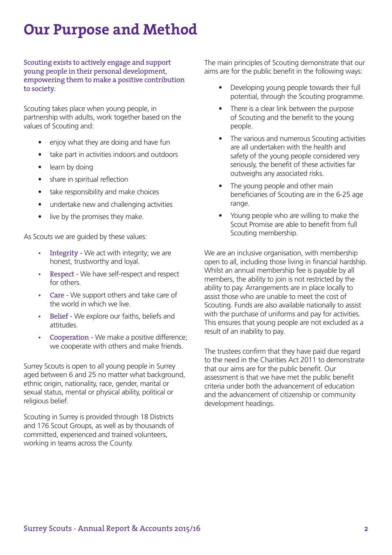### **Our Purpose and Method**

Scouting exists to actively engage and support young people in their personal development, empowering them to make a positive contribution to society.

Scouting takes place when young people, in partnership with adults, work together based on the values of Scouting and:

- enjoy what they are doing and have fun
- take part in activities indoors and outdoors
- learn by doing
- share in spiritual reflection
- take responsibility and make choices
- undertake new and challenging activities
- live by the promises they make.

As Scouts we are guided by these values:

- Integrity We act with integrity; we are honest, trustworthy and loyal.
- Respect We have self-respect and respect for others.
- Care We support others and take care of the world in which we live.
- Belief We explore our faiths, beliefs and attitudes.
- Cooperation We make a positive difference; we cooperate with others and make friends.

Surrey Scouts is open to all young people in Surrey aged between 6 and 25 no matter what background, ethnic origin, nationality, race, gender, marital or sexual status, mental or physical ability, political or religious belief.

Scouting in Surrey is provided through 18 Districts and 176 Scout Groups, as well as by thousands of committed, experienced and trained volunteers, working in teams across the County.

The main principles of Scouting demonstrate that our aims are for the public benefit in the following ways:

- Developing young people towards their full potential, through the Scouting programme.
- There is a clear link between the purpose of Scouting and the benefit to the young people.
- The various and numerous Scouting activities are all undertaken with the health and safety of the young people considered very seriously, the benefit of these activities far outweighs any associated risks.
- The young people and other main beneficiaries of Scouting are in the 6-25 age range.
- Young people who are willing to make the Scout Promise are able to benefit from full Scouting membership.

We are an inclusive organisation, with membership open to all, including those living in financial hardship. Whilst an annual membership fee is payable by all members, the ability to join is not restricted by the ability to pay. Arrangements are in place locally to assist those who are unable to meet the cost of Scouting. Funds are also available nationally to assist with the purchase of uniforms and pay for activities. This ensures that young people are not excluded as a result of an inability to pay.

The trustees confirm that they have paid due regard to the need in the Charities Act 2011 to demonstrate that our aims are for the public benefit. Our assessment is that we have met the public benefit criteria under both the advancement of education and the advancement of citizenship or community development headings.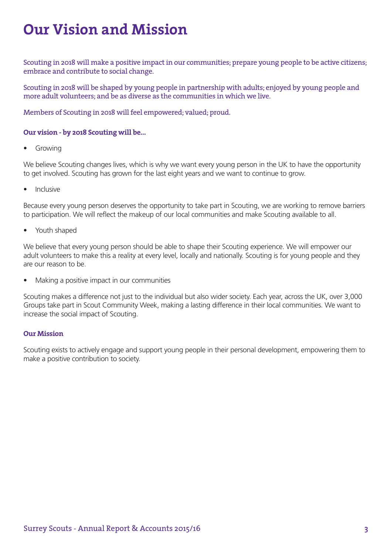### **Our Vision and Mission**

Scouting in 2018 will make a positive impact in our communities; prepare young people to be active citizens; embrace and contribute to social change.

Scouting in 2018 will be shaped by young people in partnership with adults; enjoyed by young people and more adult volunteers; and be as diverse as the communities in which we live.

Members of Scouting in 2018 will feel empowered; valued; proud.

### **Our vision - by 2018 Scouting will be…**

**Growing** 

We believe Scouting changes lives, which is why we want every young person in the UK to have the opportunity to get involved. Scouting has grown for the last eight years and we want to continue to grow.

• Inclusive

Because every young person deserves the opportunity to take part in Scouting, we are working to remove barriers to participation. We will reflect the makeup of our local communities and make Scouting available to all.

Youth shaped

We believe that every young person should be able to shape their Scouting experience. We will empower our adult volunteers to make this a reality at every level, locally and nationally. Scouting is for young people and they are our reason to be.

• Making a positive impact in our communities

Scouting makes a difference not just to the individual but also wider society. Each year, across the UK, over 3,000 Groups take part in Scout Community Week, making a lasting difference in their local communities. We want to increase the social impact of Scouting.

### **Our Mission**

Scouting exists to actively engage and support young people in their personal development, empowering them to make a positive contribution to society.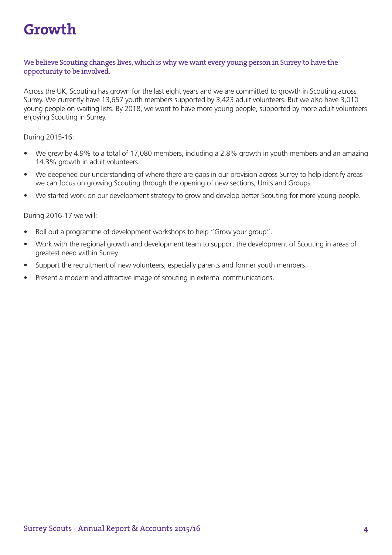### **Growth**

### We believe Scouting changes lives, which is why we want every young person in Surrey to have the opportunity to be involved.

Across the UK, Scouting has grown for the last eight years and we are committed to growth in Scouting across Surrey. We currently have 13,657 youth members supported by 3,423 adult volunteers. But we also have 3,010 young people on waiting lists. By 2018, we want to have more young people, supported by more adult volunteers enjoying Scouting in Surrey.

During 2015-16:

- We grew by 4.9% to a total of 17,080 members, including a 2.8% growth in youth members and an amazing 14.3% growth in adult volunteers.
- We deepened our understanding of where there are gaps in our provision across Surrey to help identify areas we can focus on growing Scouting through the opening of new sections, Units and Groups.
- We started work on our development strategy to grow and develop better Scouting for more young people.

- Roll out a programme of development workshops to help "Grow your group".
- Work with the regional growth and development team to support the development of Scouting in areas of greatest need within Surrey.
- Support the recruitment of new volunteers, especially parents and former youth members.
- Present a modern and attractive image of scouting in external communications.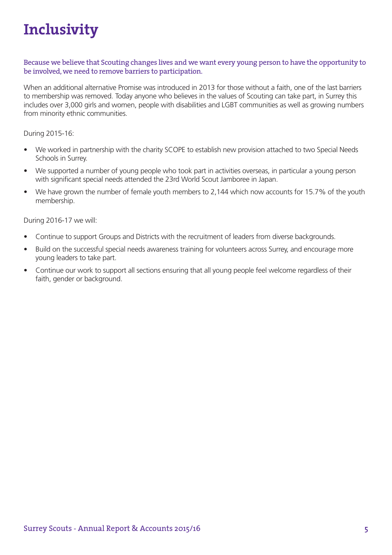### **Inclusivity**

Because we believe that Scouting changes lives and we want every young person to have the opportunity to be involved, we need to remove barriers to participation.

When an additional alternative Promise was introduced in 2013 for those without a faith, one of the last barriers to membership was removed. Today anyone who believes in the values of Scouting can take part, in Surrey this includes over 3,000 girls and women, people with disabilities and LGBT communities as well as growing numbers from minority ethnic communities.

During 2015-16:

- We worked in partnership with the charity SCOPE to establish new provision attached to two Special Needs Schools in Surrey.
- We supported a number of young people who took part in activities overseas, in particular a young person with significant special needs attended the 23rd World Scout Jamboree in Japan.
- We have grown the number of female youth members to 2,144 which now accounts for 15.7% of the youth membership.

- Continue to support Groups and Districts with the recruitment of leaders from diverse backgrounds.
- Build on the successful special needs awareness training for volunteers across Surrey, and encourage more young leaders to take part.
- Continue our work to support all sections ensuring that all young people feel welcome regardless of their faith, gender or background.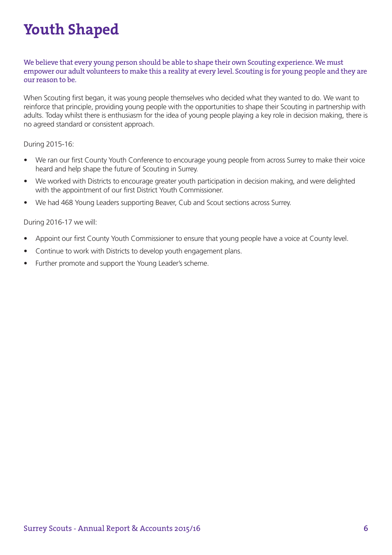### **Youth Shaped**

We believe that every young person should be able to shape their own Scouting experience. We must empower our adult volunteers to make this a reality at every level. Scouting is for young people and they are our reason to be.

When Scouting first began, it was young people themselves who decided what they wanted to do. We want to reinforce that principle, providing young people with the opportunities to shape their Scouting in partnership with adults. Today whilst there is enthusiasm for the idea of young people playing a key role in decision making, there is no agreed standard or consistent approach.

### During 2015-16:

- We ran our first County Youth Conference to encourage young people from across Surrey to make their voice heard and help shape the future of Scouting in Surrey.
- We worked with Districts to encourage greater youth participation in decision making, and were delighted with the appointment of our first District Youth Commissioner.
- We had 468 Young Leaders supporting Beaver, Cub and Scout sections across Surrey.

- Appoint our first County Youth Commissioner to ensure that young people have a voice at County level.
- Continue to work with Districts to develop youth engagement plans.
- Further promote and support the Young Leader's scheme.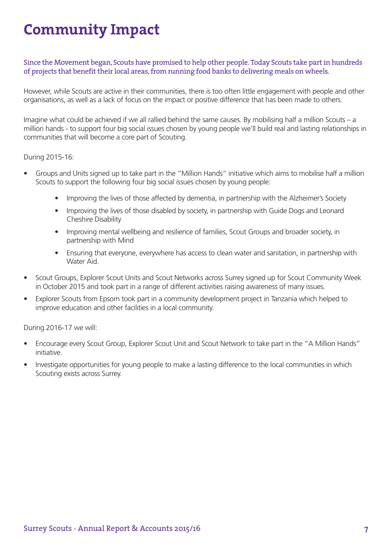### **Community Impact**

Since the Movement began, Scouts have promised to help other people. Today Scouts take part in hundreds of projects that benefit their local areas, from running food banks to delivering meals on wheels.

However, while Scouts are active in their communities, there is too often little engagement with people and other organisations, as well as a lack of focus on the impact or positive difference that has been made to others.

Imagine what could be achieved if we all rallied behind the same causes. By mobilising half a million Scouts – a million hands - to support four big social issues chosen by young people we'll build real and lasting relationships in communities that will become a core part of Scouting.

### During 2015-16:

- Groups and Units signed up to take part in the "Million Hands" initiative which aims to mobilise half a million Scouts to support the following four big social issues chosen by young people:
	- Improving the lives of those affected by dementia, in partnership with the Alzheimer's Society
	- Improving the lives of those disabled by society, in partnership with Guide Dogs and Leonard Cheshire Disability
	- Improving mental wellbeing and resilience of families, Scout Groups and broader society, in partnership with Mind
	- Ensuring that everyone, everywhere has access to clean water and sanitation, in partnership with Water Aid.
- Scout Groups, Explorer Scout Units and Scout Networks across Surrey signed up for Scout Community Week in October 2015 and took part in a range of different activities raising awareness of many issues.
- Explorer Scouts from Epsom took part in a community development project in Tanzania which helped to improve education and other facilities in a local community.

- Encourage every Scout Group, Explorer Scout Unit and Scout Network to take part in the "A Million Hands" initiative.
- Investigate opportunities for young people to make a lasting difference to the local communities in which Scouting exists across Surrey.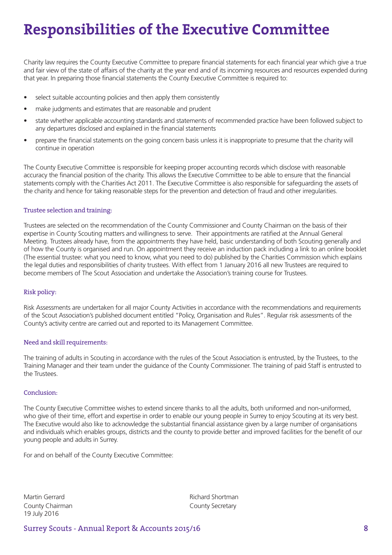### **Responsibilities of the Executive Committee**

Charity law requires the County Executive Committee to prepare financial statements for each financial year which give a true and fair view of the state of affairs of the charity at the year end and of its incoming resources and resources expended during that year. In preparing those financial statements the County Executive Committee is required to:

- select suitable accounting policies and then apply them consistently
- make judgments and estimates that are reasonable and prudent
- state whether applicable accounting standards and statements of recommended practice have been followed subject to any departures disclosed and explained in the financial statements
- prepare the financial statements on the going concern basis unless it is inappropriate to presume that the charity will continue in operation

The County Executive Committee is responsible for keeping proper accounting records which disclose with reasonable accuracy the financial position of the charity. This allows the Executive Committee to be able to ensure that the financial statements comply with the Charities Act 2011. The Executive Committee is also responsible for safeguarding the assets of the charity and hence for taking reasonable steps for the prevention and detection of fraud and other irregularities.

#### Trustee selection and training:

Trustees are selected on the recommendation of the County Commissioner and County Chairman on the basis of their expertise in County Scouting matters and willingness to serve. Their appointments are ratified at the Annual General Meeting. Trustees already have, from the appointments they have held, basic understanding of both Scouting generally and of how the County is organised and run. On appointment they receive an induction pack including a link to an online booklet (The essential trustee: what you need to know, what you need to do) published by the Charities Commission which explains the legal duties and responsibilities of charity trustees. With effect from 1 January 2016 all new Trustees are required to become members of The Scout Association and undertake the Association's training course for Trustees.

### Risk policy:

Risk Assessments are undertaken for all major County Activities in accordance with the recommendations and requirements of the Scout Association's published document entitled "Policy, Organisation and Rules". Regular risk assessments of the County's activity centre are carried out and reported to its Management Committee.

#### Need and skill requirements:

The training of adults in Scouting in accordance with the rules of the Scout Association is entrusted, by the Trustees, to the Training Manager and their team under the guidance of the County Commissioner. The training of paid Staff is entrusted to the Trustees.

#### Conclusion:

The County Executive Committee wishes to extend sincere thanks to all the adults, both uniformed and non-uniformed, who give of their time, effort and expertise in order to enable our young people in Surrey to enjoy Scouting at its very best. The Executive would also like to acknowledge the substantial financial assistance given by a large number of organisations and individuals which enables groups, districts and the county to provide better and improved facilities for the benefit of our young people and adults in Surrey.

For and on behalf of the County Executive Committee:

Martin Gerrard **Richard Shortman** County Chairman County Secretary 19 July 2016

Surrey Scouts - Annual Report & Accounts 2015/16 **8**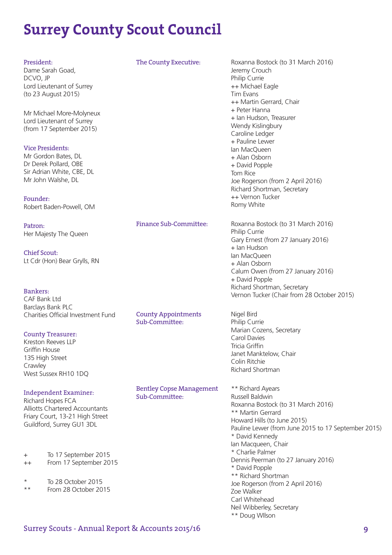### **Surrey County Scout Council**

### President:

Dame Sarah Goad, DCVO, JP Lord Lieutenant of Surrey (to 23 August 2015)

Mr Michael More-Molyneux Lord Lieutenant of Surrey (from 17 September 2015)

### Vice Presidents:

Mr Gordon Bates, DL Dr Derek Pollard, OBE Sir Adrian White, CBE, DL Mr John Walshe, DL

Founder: Robert Baden-Powell, OM

Patron: Her Majesty The Queen

Chief Scout: Lt Cdr (Hon) Bear Grylls, RN

Bankers: CAF Bank Ltd Barclays Bank PLC Charities Official Investment Fund

### County Treasurer:

Kreston Reeves LLP Griffin House 135 High Street Crawley West Sussex RH10 1DQ

Independent Examiner: Richard Hopes FCA

Alliotts Chartered Accountants Friary Court, 13-21 High Street Guildford, Surrey GU1 3DL

- + To 17 September 2015
- ++ From 17 September 2015
- $*$  To 28 October 2015
- From 28 October 2015

The County Executive: Roxanna Bostock (to 31 March 2016)

 Jeremy Crouch Philip Currie ++ Michael Eagle Tim Evans ++ Martin Gerrard, Chair + Peter Hanna + Ian Hudson, Treasurer Wendy Kislingbury Caroline Ledger + Pauline Lewer Ian MacQueen + Alan Osborn + David Popple Tom Rice Joe Rogerson (from 2 April 2016) Richard Shortman, Secretary ++ Vernon Tucker Romy White

Finance Sub-Committee: Roxanna Bostock (to 31 March 2016) Philip Currie Gary Ernest (from 27 January 2016) + Ian Hudson Ian MacQueen + Alan Osborn Calum Owen (from 27 January 2016) + David Popple Richard Shortman, Secretary Vernon Tucker (Chair from 28 October 2015)

County Appointments Nigel Bird Sub-Committee: Philip Currie Marian Cozens, Secretary Carol Davies Tricia Griffin Janet Manktelow, Chair Colin Ritchie Richard Shortman

Bentley Copse Management \*\* Richard Ayears<br>Sub-Committee: Russell Baldwin Roxanna Bostock (to 31 March 2016) \*\* Martin Gerrard Howard Hills (to June 2015) Pauline Lewer (from June 2015 to 17 September 2015) \* David Kennedy Ian Macqueen, Chair \* Charlie Palmer Dennis Peerman (to 27 January 2016) \* David Popple \*\* Richard Shortman Joe Rogerson (from 2 April 2016) Zoe Walker Carl Whitehead Neil Wibberley, Secretary \*\* Doug WIlson

### Surrey Scouts - Annual Report & Accounts 2015/16 **9**

 $S^{11}$ -Committee: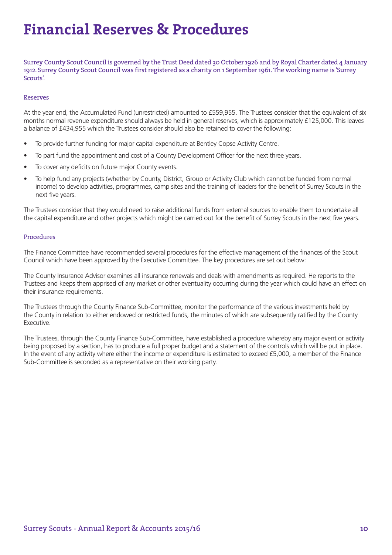### **Financial Reserves & Procedures**

Surrey County Scout Council is governed by the Trust Deed dated 30 October 1926 and by Royal Charter dated 4 January 1912. Surrey County Scout Council was first registered as a charity on 1 September 1961. The working name is 'Surrey Scouts'.

#### Reserves

At the year end, the Accumulated Fund (unrestricted) amounted to £559,955. The Trustees consider that the equivalent of six months normal revenue expenditure should always be held in general reserves, which is approximately £125,000. This leaves a balance of £434,955 which the Trustees consider should also be retained to cover the following:

- To provide further funding for major capital expenditure at Bentley Copse Activity Centre.
- To part fund the appointment and cost of a County Development Officer for the next three years.
- To cover any deficits on future major County events.
- To help fund any projects (whether by County, District, Group or Activity Club which cannot be funded from normal income) to develop activities, programmes, camp sites and the training of leaders for the benefit of Surrey Scouts in the next five years.

The Trustees consider that they would need to raise additional funds from external sources to enable them to undertake all the capital expenditure and other projects which might be carried out for the benefit of Surrey Scouts in the next five years.

#### Procedures

The Finance Committee have recommended several procedures for the effective management of the finances of the Scout Council which have been approved by the Executive Committee. The key procedures are set out below:

The County Insurance Advisor examines all insurance renewals and deals with amendments as required. He reports to the Trustees and keeps them apprised of any market or other eventuality occurring during the year which could have an effect on their insurance requirements.

The Trustees through the County Finance Sub-Committee, monitor the performance of the various investments held by the County in relation to either endowed or restricted funds, the minutes of which are subsequently ratified by the County Executive.

The Trustees, through the County Finance Sub-Committee, have established a procedure whereby any major event or activity being proposed by a section, has to produce a full proper budget and a statement of the controls which will be put in place. In the event of any activity where either the income or expenditure is estimated to exceed £5,000, a member of the Finance Sub-Committee is seconded as a representative on their working party.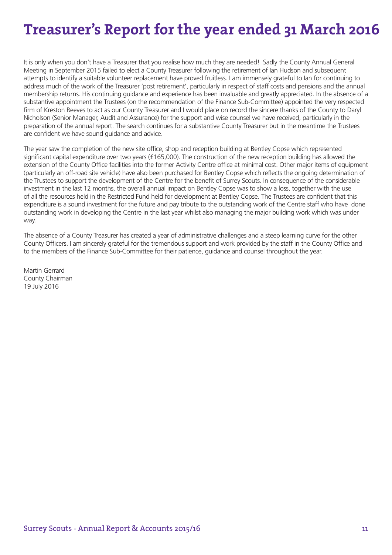### **Treasurer's Report for the year ended 31 March 2016**

It is only when you don't have a Treasurer that you realise how much they are needed! Sadly the County Annual General Meeting in September 2015 failed to elect a County Treasurer following the retirement of Ian Hudson and subsequent attempts to identify a suitable volunteer replacement have proved fruitless. I am immensely grateful to Ian for continuing to address much of the work of the Treasurer 'post retirement', particularly in respect of staff costs and pensions and the annual membership returns. His continuing guidance and experience has been invaluable and greatly appreciated. In the absence of a substantive appointment the Trustees (on the recommendation of the Finance Sub-Committee) appointed the very respected firm of Kreston Reeves to act as our County Treasurer and I would place on record the sincere thanks of the County to Daryl Nicholson (Senior Manager, Audit and Assurance) for the support and wise counsel we have received, particularly in the preparation of the annual report. The search continues for a substantive County Treasurer but in the meantime the Trustees are confident we have sound guidance and advice.

The year saw the completion of the new site office, shop and reception building at Bentley Copse which represented significant capital expenditure over two years (£165,000). The construction of the new reception building has allowed the extension of the County Office facilities into the former Activity Centre office at minimal cost. Other major items of equipment (particularly an off-road site vehicle) have also been purchased for Bentley Copse which reflects the ongoing determination of the Trustees to support the development of the Centre for the benefit of Surrey Scouts. In consequence of the considerable investment in the last 12 months, the overall annual impact on Bentley Copse was to show a loss, together with the use of all the resources held in the Restricted Fund held for development at Bentley Copse. The Trustees are confident that this expenditure is a sound investment for the future and pay tribute to the outstanding work of the Centre staff who have done outstanding work in developing the Centre in the last year whilst also managing the major building work which was under way.

The absence of a County Treasurer has created a year of administrative challenges and a steep learning curve for the other County Officers. I am sincerely grateful for the tremendous support and work provided by the staff in the County Office and to the members of the Finance Sub-Committee for their patience, guidance and counsel throughout the year.

Martin Gerrard County Chairman 19 July 2016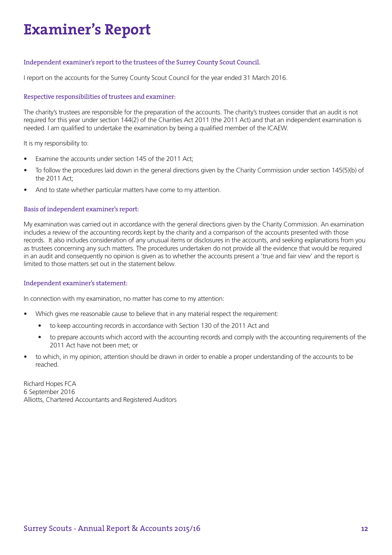### **Examiner's Report**

### Independent examiner's report to the trustees of the Surrey County Scout Council.

I report on the accounts for the Surrey County Scout Council for the year ended 31 March 2016.

#### Respective responsibilities of trustees and examiner:

The charity's trustees are responsible for the preparation of the accounts. The charity's trustees consider that an audit is not required for this year under section 144(2) of the Charities Act 2011 (the 2011 Act) and that an independent examination is needed. I am qualified to undertake the examination by being a qualified member of the ICAEW.

It is my responsibility to:

- Examine the accounts under section 145 of the 2011 Act;
- To follow the procedures laid down in the general directions given by the Charity Commission under section 145(5)(b) of the 2011 Act;
- And to state whether particular matters have come to my attention.

#### Basis of independent examiner's report:

My examination was carried out in accordance with the general directions given by the Charity Commission. An examination includes a review of the accounting records kept by the charity and a comparison of the accounts presented with those records. It also includes consideration of any unusual items or disclosures in the accounts, and seeking explanations from you as trustees concerning any such matters. The procedures undertaken do not provide all the evidence that would be required in an audit and consequently no opinion is given as to whether the accounts present a 'true and fair view' and the report is limited to those matters set out in the statement below.

#### Independent examiner's statement:

In connection with my examination, no matter has come to my attention:

- Which gives me reasonable cause to believe that in any material respect the requirement:
	- to keep accounting records in accordance with Section 130 of the 2011 Act and
	- to prepare accounts which accord with the accounting records and comply with the accounting requirements of the 2011 Act have not been met; or
- to which, in my opinion, attention should be drawn in order to enable a proper understanding of the accounts to be reached.

Richard Hopes FCA 6 September 2016 Alliotts, Chartered Accountants and Registered Auditors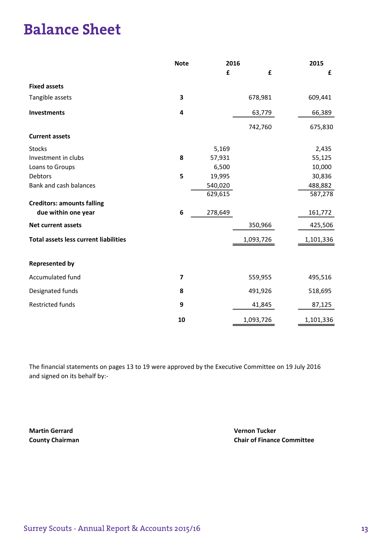### **Balance Sheet**

|                                              | <b>Note</b> | 2016    |           | 2015      |
|----------------------------------------------|-------------|---------|-----------|-----------|
|                                              |             | £       | £         | £         |
| <b>Fixed assets</b>                          |             |         |           |           |
| Tangible assets                              | 3           |         | 678,981   | 609,441   |
| <b>Investments</b>                           | 4           |         | 63,779    | 66,389    |
|                                              |             |         | 742,760   | 675,830   |
| <b>Current assets</b>                        |             |         |           |           |
| <b>Stocks</b>                                |             | 5,169   |           | 2,435     |
| Investment in clubs                          | 8           | 57,931  |           | 55,125    |
| Loans to Groups                              |             | 6,500   |           | 10,000    |
| Debtors                                      | 5           | 19,995  |           | 30,836    |
| Bank and cash balances                       |             | 540,020 |           | 488,882   |
|                                              |             | 629,615 |           | 587,278   |
| <b>Creditors: amounts falling</b>            |             |         |           |           |
| due within one year                          | $\bf 6$     | 278,649 |           | 161,772   |
| <b>Net current assets</b>                    |             |         | 350,966   | 425,506   |
| <b>Total assets less current liabilities</b> |             |         | 1,093,726 | 1,101,336 |
|                                              |             |         |           |           |
| <b>Represented by</b>                        |             |         |           |           |
| Accumulated fund                             | 7           |         | 559,955   | 495,516   |
| Designated funds                             | 8           |         | 491,926   | 518,695   |
| <b>Restricted funds</b>                      | 9           |         | 41,845    | 87,125    |
|                                              | 10          |         | 1,093,726 | 1,101,336 |

The financial statements on pages 13 to 19 were approved by the Executive Committee on 19 July 2016 and signed on its behalf by:-

Martin Gerrard Vernon Tucker

County Chairman County Chairman County Chair of Finance Committee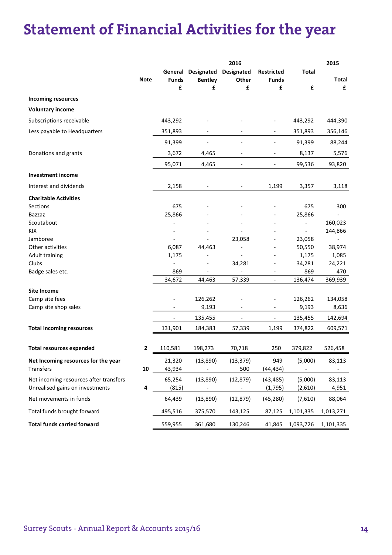### **Statement of Financial Activities for the year**

|                                        |             |                          |                          | 2016                     |                   |                          | 2015         |
|----------------------------------------|-------------|--------------------------|--------------------------|--------------------------|-------------------|--------------------------|--------------|
|                                        |             |                          | General Designated       | Designated               | <b>Restricted</b> | <b>Total</b>             |              |
|                                        | <b>Note</b> | <b>Funds</b>             | <b>Bentley</b>           | Other                    | <b>Funds</b>      |                          | <b>Total</b> |
|                                        |             | £                        | £                        | £                        | £                 | £                        | £            |
| <b>Incoming resources</b>              |             |                          |                          |                          |                   |                          |              |
| <b>Voluntary income</b>                |             |                          |                          |                          |                   |                          |              |
| Subscriptions receivable               |             | 443,292                  |                          |                          |                   | 443,292                  | 444,390      |
| Less payable to Headquarters           |             | 351,893                  | $\overline{\phantom{a}}$ |                          | $\overline{a}$    | 351,893                  | 356,146      |
|                                        |             | 91,399                   |                          |                          |                   | 91,399                   | 88,244       |
| Donations and grants                   |             | 3,672                    | 4,465                    |                          | $\overline{a}$    | 8,137                    | 5,576        |
|                                        |             | 95,071                   | 4,465                    |                          |                   | 99,536                   | 93,820       |
| <b>Investment income</b>               |             |                          |                          |                          |                   |                          |              |
| Interest and dividends                 |             | 2,158                    | $\overline{\phantom{a}}$ | $\overline{\phantom{a}}$ | 1,199             | 3,357                    | 3,118        |
| <b>Charitable Activities</b>           |             |                          |                          |                          |                   |                          |              |
| Sections                               |             | 675                      |                          |                          |                   | 675                      | 300          |
| Bazzaz                                 |             | 25,866                   |                          |                          |                   | 25,866                   |              |
| Scoutabout                             |             |                          |                          |                          |                   | $\overline{\phantom{0}}$ | 160,023      |
| KIX                                    |             |                          |                          |                          |                   | $\frac{1}{2}$            | 144,866      |
| Jamboree                               |             | $\overline{\phantom{a}}$ |                          | 23,058                   |                   | 23,058                   |              |
| Other activities                       |             | 6,087                    | 44,463                   |                          |                   | 50,550                   | 38,974       |
| <b>Adult training</b>                  |             | 1,175                    | $\overline{a}$           |                          |                   | 1,175                    | 1,085        |
| Clubs                                  |             | $\blacksquare$           |                          | 34,281                   |                   | 34,281                   | 24,221       |
| Badge sales etc.                       |             | 869                      |                          | $\overline{\phantom{a}}$ |                   | 869                      | 470          |
|                                        |             | 34,672                   | 44,463                   | 57,339                   | $\frac{1}{2}$     | 136,474                  | 369,939      |
| <b>Site Income</b>                     |             |                          |                          |                          |                   |                          |              |
| Camp site fees                         |             | $\overline{\phantom{a}}$ | 126,262                  |                          | $\overline{a}$    | 126,262                  | 134,058      |
| Camp site shop sales                   |             |                          | 9,193                    |                          |                   | 9,193                    | 8,636        |
|                                        |             |                          | 135,455                  | $\overline{\phantom{a}}$ | $\overline{a}$    | 135,455                  | 142,694      |
| <b>Total incoming resources</b>        |             | 131,901                  | 184,383                  | 57,339                   | 1,199             | 374,822                  | 609,571      |
|                                        |             |                          |                          |                          |                   |                          |              |
| <b>Total resources expended</b>        | $\mathbf 2$ | 110,581                  | 198,273                  | 70,718                   | 250               | 379,822                  | 526,458      |
| Net Incoming resources for the year    |             | 21,320                   | (13,890)                 | (13, 379)                | 949               | (5,000)                  | 83,113       |
| Transfers                              | ${\bf 10}$  | 43,934                   |                          | 500                      | (44,434)          | $\frac{1}{2}$            |              |
| Net incoming resources after transfers |             | 65,254                   | (13,890)                 | (12, 879)                | (43, 485)         | (5,000)                  | 83,113       |
| Unrealised gains on investments        | 4           | (815)                    |                          |                          | (1,795)           | (2,610)                  | 4,951        |
| Net movements in funds                 |             | 64,439                   | (13,890)                 | (12, 879)                | (45, 280)         | (7,610)                  | 88,064       |
| Total funds brought forward            |             | 495,516                  | 375,570                  | 143,125                  | 87,125            | 1,101,335                | 1,013,271    |
| <b>Total funds carried forward</b>     |             | 559,955                  | 361,680                  | 130,246                  | 41,845            | 1,093,726                | 1,101,335    |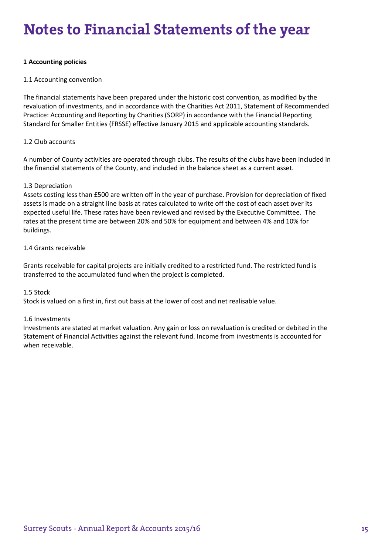# $\bold{Notes}$  to Financial Statements of the year

### **1 Accounting policies**

### 1.1 Accounting convention

The financial statements have been prepared under the historic cost convention, as modified by the revaluation of investments, and in accordance with the Charities Act 2011, Statement of Recommended Practice: Accounting and Reporting by Charities (SORP) in accordance with the Financial Reporting Standard for Smaller Entities (FRSSE) effective January 2015 and applicable accounting standards.

### 1.2 Club accounts

A number of County activities are operated through clubs. The results of the clubs have been included in the financial statements of the County, and included in the balance sheet as a current asset.

### 1.3 Depreciation

Assets costing less than £500 are written off in the year of purchase. Provision for depreciation of fixed assets is made on a straight line basis at rates calculated to write off the cost of each asset over its expected useful life. These rates have been reviewed and revised by the Executive Committee. The rates at the present time are between 20% and 50% for equipment and between 4% and 10% for buildings.

### 1.4 Grants receivable

Grants receivable for capital projects are initially credited to a restricted fund. The restricted fund is transferred to the accumulated fund when the project is completed.

### 1.5 Stock

Stock is valued on a first in, first out basis at the lower of cost and net realisable value.

### 1.6 Investments

Investments are stated at market valuation. Any gain or loss on revaluation is credited or debited in the Statement of Financial Activities against the relevant fund. Income from investments is accounted for when receivable.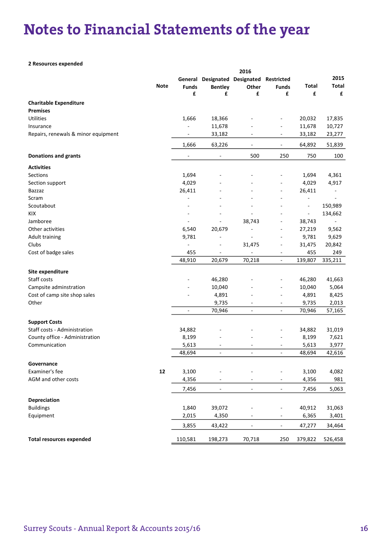### **Notes to Financial Statements of the year**

#### 2 Resources expended

|                                     |             |              |                               | 2016                     |                          |                          |                          |
|-------------------------------------|-------------|--------------|-------------------------------|--------------------------|--------------------------|--------------------------|--------------------------|
|                                     |             |              | General Designated Designated |                          | Restricted               |                          | 2015                     |
|                                     | <b>Note</b> | <b>Funds</b> | <b>Bentley</b>                | Other                    | <b>Funds</b>             | <b>Total</b>             | <b>Total</b>             |
|                                     |             | £            | £                             | £                        | £                        | £                        | £                        |
| <b>Charitable Expenditure</b>       |             |              |                               |                          |                          |                          |                          |
| <b>Premises</b>                     |             |              |                               |                          |                          |                          |                          |
| <b>Utilities</b>                    |             | 1,666        | 18,366                        |                          | ÷,                       | 20,032                   | 17,835                   |
| Insurance                           |             |              | 11,678                        |                          |                          | 11,678                   | 10,727                   |
| Repairs, renewals & minor equipment |             |              | 33,182                        |                          | $\overline{\phantom{0}}$ | 33,182                   | 23,277                   |
|                                     |             | 1,666        | 63,226                        | $\overline{\phantom{a}}$ | $\blacksquare$           | 64,892                   | 51,839                   |
| <b>Donations and grants</b>         |             |              | ۰                             | 500                      | 250                      | 750                      | 100                      |
| <b>Activities</b>                   |             |              |                               |                          |                          |                          |                          |
| Sections                            |             | 1,694        |                               |                          |                          | 1,694                    | 4,361                    |
| Section support                     |             | 4,029        |                               |                          |                          | 4,029                    | 4,917                    |
| Bazzaz                              |             | 26,411       |                               |                          | $\overline{\phantom{0}}$ | 26,411                   | -                        |
| Scram                               |             |              | ٠                             | $\overline{a}$           | ٠                        | ÷,                       | $\overline{\phantom{a}}$ |
| Scoutabout                          |             | ٠            |                               | ٠                        | ٠                        | $\overline{\phantom{a}}$ | 150,989                  |
| KIX                                 |             |              |                               |                          |                          | $\blacksquare$           | 134,662                  |
| Jamboree                            |             |              |                               | 38,743                   | $\overline{a}$           | 38,743                   |                          |
| Other activities                    |             | 6,540        | 20,679                        | $\blacksquare$           |                          | 27,219                   | 9,562                    |
| <b>Adult training</b>               |             | 9,781        | -                             |                          |                          | 9,781                    | 9,629                    |
| Clubs                               |             |              | $\overline{a}$                | 31,475                   | ÷                        | 31,475                   | 20,842                   |
| Cost of badge sales                 |             | 455          |                               |                          | $\overline{\phantom{0}}$ | 455                      | 249                      |
|                                     |             | 48,910       | 20,679                        | 70,218                   | $\blacksquare$           | 139,807                  | 335,211                  |
| Site expenditure                    |             |              |                               |                          |                          |                          |                          |
| Staff costs                         |             |              | 46,280                        |                          |                          | 46,280                   | 41,663                   |
| Campsite adminstration              |             |              | 10,040                        |                          | $\overline{a}$           | 10,040                   | 5,064                    |
| Cost of camp site shop sales        |             |              | 4,891                         |                          | $\overline{a}$           | 4,891                    | 8,425                    |
| Other                               |             |              | 9,735                         | $\overline{\phantom{a}}$ | $\overline{a}$           | 9,735                    | 2,013                    |
|                                     |             | ä,           | 70,946                        | $\overline{\phantom{a}}$ | L.                       | 70,946                   | 57,165                   |
| <b>Support Costs</b>                |             |              |                               |                          |                          |                          |                          |
| Staff costs - Administration        |             | 34,882       |                               |                          |                          | 34,882                   | 31,019                   |
| County office - Administration      |             | 8,199        |                               |                          | ٠                        | 8,199                    | 7,621                    |
| Communication                       |             | 5,613        |                               |                          | $\overline{a}$           | 5,613                    | 3,977                    |
|                                     |             | 48,694       | $\overline{\phantom{a}}$      | $\overline{\phantom{a}}$ | $\frac{1}{2}$            | 48,694                   | 42,616                   |
| Governance                          |             |              |                               |                          |                          |                          |                          |
| Examiner's fee                      | 12          | 3,100        |                               |                          |                          | 3,100                    | 4,082                    |
| AGM and other costs                 |             | 4,356        | ۰                             |                          |                          | 4,356                    | 981                      |
|                                     |             | 7,456        | $\overline{\phantom{a}}$      | $\overline{\phantom{a}}$ | $\overline{\phantom{0}}$ | 7,456                    | 5,063                    |
|                                     |             |              |                               |                          |                          |                          |                          |
| Depreciation                        |             |              |                               |                          |                          |                          |                          |
| <b>Buildings</b>                    |             | 1,840        | 39,072                        |                          | $\overline{\phantom{a}}$ | 40,912                   | 31,063                   |
| Equipment                           |             | 2,015        | 4,350                         |                          | -                        | 6,365                    | 3,401                    |
|                                     |             | 3,855        | 43,422                        | $\overline{\phantom{a}}$ | $\overline{\phantom{0}}$ | 47,277                   | 34,464                   |
| <b>Total resources expended</b>     |             | 110,581      | 198,273                       | 70,718                   | 250                      | 379,822                  | 526,458                  |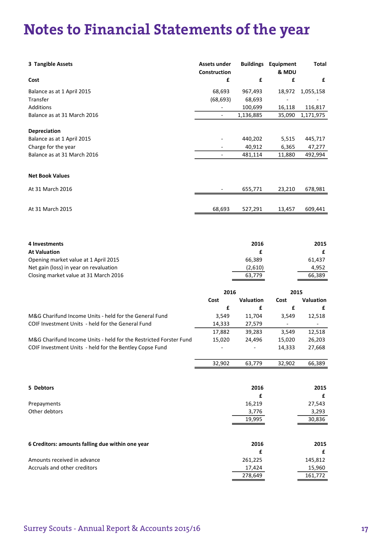# Notes to Financial Statements of the year **Notes**

| 3 Tangible Assets                                                 | Assets under<br>Construction |                  | <b>Buildings Equipment</b><br>& MDU | Total          |
|-------------------------------------------------------------------|------------------------------|------------------|-------------------------------------|----------------|
| Cost                                                              | £                            | £                | £                                   | £              |
| Balance as at 1 April 2015                                        | 68,693                       | 967,493          | 18,972                              | 1,055,158      |
| Transfer                                                          | (68, 693)                    | 68,693           |                                     |                |
| <b>Additions</b>                                                  |                              | 100,699          | 16,118                              | 116,817        |
| Balance as at 31 March 2016                                       | $\overline{a}$               | 1,136,885        | 35,090                              | 1,171,975      |
| Depreciation                                                      |                              |                  |                                     |                |
| Balance as at 1 April 2015                                        |                              | 440,202          | 5,515                               | 445,717        |
| Charge for the year                                               |                              | 40,912           | 6,365                               | 47,277         |
| Balance as at 31 March 2016                                       | $\blacksquare$               | 481,114          | 11,880                              | 492,994        |
| <b>Net Book Values</b>                                            |                              |                  |                                     |                |
| At 31 March 2016                                                  |                              | 655,771          | 23,210                              | 678,981        |
| At 31 March 2015                                                  | 68,693                       | 527,291          | 13,457                              | 609,441        |
| 4 Investments                                                     |                              | 2016             |                                     | 2015           |
| <b>At Valuation</b>                                               |                              | £                |                                     | £              |
| Opening market value at 1 April 2015                              |                              | 66,389           |                                     | 61,437         |
| Net gain (loss) in year on revaluation                            |                              | (2,610)          |                                     | 4,952          |
| Closing market value at 31 March 2016                             |                              | 63,779           |                                     | 66,389         |
|                                                                   | 2016                         |                  | 2015                                |                |
|                                                                   | Cost                         | <b>Valuation</b> | Cost                                | Valuation      |
|                                                                   | £                            | £                | £                                   | £              |
| M&G Charifund Income Units - held for the General Fund            | 3,549                        | 11,704           | 3,549                               | 12,518         |
| COIF Investment Units - held for the General Fund                 | 14,333                       | 27,579           | $\blacksquare$                      | $\blacksquare$ |
|                                                                   | 17,882                       | 39,283           | 3,549                               | 12,518         |
| M&G Charifund Income Units - held for the Restricted Forster Fund | 15,020                       | 24,496           | 15,020                              | 26,203         |
| COIF Investment Units - held for the Bentley Copse Fund           |                              |                  | 14,333                              | 27,668         |
|                                                                   | 32,902                       | 63,779           | 32,902                              | 66,389         |

| 5 Debtors                                        | 2016   | 2015   |  |
|--------------------------------------------------|--------|--------|--|
|                                                  | £      |        |  |
| Prepayments                                      | 16,219 | 27,543 |  |
| Other debtors                                    | 3,776  | 3,293  |  |
|                                                  | 19.995 | 30,836 |  |
|                                                  |        |        |  |
| 6 Creditors: amounts falling due within one year | 2016   | 2015   |  |

| Amounts received in advance  | 261.225 | 145,812 |
|------------------------------|---------|---------|
| Accruals and other creditors | 17.424  | 15,960  |
|                              | 278.649 | 161,772 |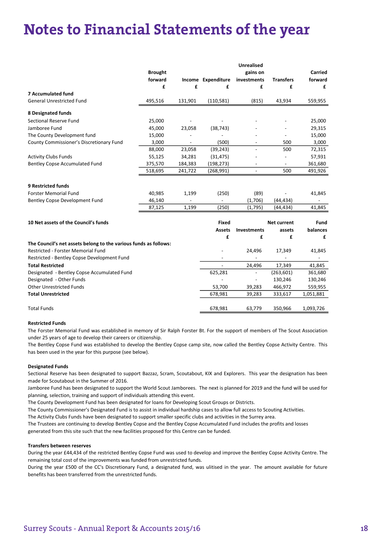### **Notes to Financial Statements of the year**

|                                                                  |                |         |                    | <b>Unrealised</b>        |                          |                          |
|------------------------------------------------------------------|----------------|---------|--------------------|--------------------------|--------------------------|--------------------------|
|                                                                  | <b>Brought</b> |         |                    | gains on                 |                          | Carried                  |
|                                                                  | forward        |         | Income Expenditure | investments              | <b>Transfers</b>         | forward                  |
|                                                                  | £              | £       | £                  | £                        | £                        | £                        |
| <b>7 Accumulated fund</b>                                        |                |         |                    |                          |                          |                          |
| <b>General Unrestricted Fund</b>                                 | 495,516        | 131,901 | (110, 581)         | (815)                    | 43,934                   | 559,955                  |
| 8 Designated funds                                               |                |         |                    |                          |                          |                          |
| Sectional Reserve Fund                                           | 25,000         |         |                    |                          |                          | 25,000                   |
| Jamboree Fund                                                    | 45,000         | 23,058  | (38, 743)          |                          |                          | 29,315                   |
| The County Development fund                                      | 15,000         |         | $\overline{a}$     |                          |                          | 15,000                   |
| County Commissioner's Discretionary Fund                         | 3,000          |         | (500)              |                          | 500                      | 3,000                    |
|                                                                  | 88,000         | 23,058  | (39, 243)          |                          | 500                      | 72,315                   |
| <b>Activity Clubs Funds</b>                                      | 55,125         | 34,281  | (31, 475)          |                          |                          | 57,931                   |
| Bentley Copse Accumulated Fund                                   | 375,570        | 184,383 | (198, 273)         | $\overline{\phantom{a}}$ | $\overline{\phantom{a}}$ | 361,680                  |
|                                                                  | 518,695        | 241,722 | (268, 991)         | $\overline{\phantom{a}}$ | 500                      | 491,926                  |
| <b>9 Restricted funds</b>                                        |                |         |                    |                          |                          |                          |
| <b>Forster Memorial Fund</b>                                     | 40,985         | 1,199   | (250)              | (89)                     |                          | 41,845                   |
| Bentley Copse Development Fund                                   | 46,140         |         |                    | (1,706)                  | (44, 434)                |                          |
|                                                                  | 87,125         | 1,199   | (250)              | (1,795)                  | (44, 434)                | 41,845                   |
| 10 Net assets of the Council's funds                             |                |         | <b>Fixed</b>       |                          | <b>Net current</b>       | Fund                     |
|                                                                  |                |         | <b>Assets</b>      | <b>Investments</b>       | assets                   | balances                 |
|                                                                  |                |         | £                  | £                        | £                        | £                        |
| The Council's net assets belong to the various funds as follows: |                |         |                    |                          |                          |                          |
| Restricted - Forster Memorial Fund                               |                |         |                    | 24,496                   | 17,349                   | 41,845                   |
| Restricted - Bentley Copse Development Fund                      |                |         |                    |                          |                          | $\overline{\phantom{0}}$ |
| <b>Total Restricted</b>                                          |                |         |                    | 24,496                   | 17,349                   | 41,845                   |
| Designated - Bentley Copse Accumulated Fund                      |                |         | 625,281            |                          | (263, 601)               | 361,680                  |
| Designated - Other Funds                                         |                |         |                    |                          | 130,246                  | 130,246                  |
| <b>Other Unrestricted Funds</b>                                  |                |         | 53,700             | 39,283                   | 466,972                  | 559,955                  |
| <b>Total Unrestricted</b>                                        |                |         | 678,981            | 39,283                   | 333,617                  | 1,051,881                |
|                                                                  |                |         |                    |                          |                          |                          |
| <b>Total Funds</b>                                               |                |         | 678,981            | 63,779                   | 350,966                  | 1,093,726                |

#### Restricted Funds

The Forster Memorial Fund was established in memory of Sir Ralph Forster Bt. For the support of members of The Scout Association under 25 years of age to develop their careers or citizenship.

The Bentley Copse Fund was established to develop the Bentley Copse camp site, now called the Bentley Copse Activity Centre. This has been used in the year for this purpose (see below).

#### Designated Funds

Sectional Reserve has been designated to support Bazzaz, Scram, Scoutabout, KIX and Explorers. This year the designation has been made for Scoutabout in the Summer of 2016.

Jamboree Fund has been designated to support the World Scout Jamborees. The next is planned for 2019 and the fund will be used for planning, selection, training and support of individuals attending this event.

The County Development Fund has been designated for loans for Developing Scout Groups or Districts.

The County Commissioner's Designated Fund is to assist in individual hardship cases to allow full access to Scouting Activities.

The Activity Clubs Funds have been designated to support smaller specific clubs and activities in the Surrey area.

The Trustees are continuing to develop Bentley Copse and the Bentley Copse Accumulated Fund includes the profits and losses generated from this site such that the new facilities proposed for this Centre can be funded.

#### Transfers between reserves

During the year £44,434 of the restricted Bentley Copse Fund was used to develop and improve the Bentley Copse Activity Centre. The remaining total cost of the improvements was funded from unrestricted funds.

During the year £500 of the CC's Discretionary Fund, a designated fund, was ulitised in the year. The amount available for future benefits has been transferred from the unrestricted funds.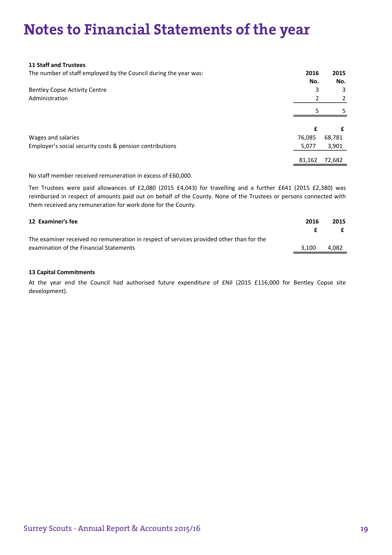## Notes to Financial Statements of the year **Notes**

#### 11 Staff and Trustees

The number of staff employed by the Council during the year was: 2016 2015

|                                                          | No.    | No.    |
|----------------------------------------------------------|--------|--------|
| <b>Bentley Copse Activity Centre</b>                     | 3      | 3      |
| Administration                                           |        | 2      |
|                                                          |        | -5     |
|                                                          |        | £      |
| Wages and salaries                                       | 76,085 | 68,781 |
| Employer's social security costs & pension contributions | 5,077  | 3,901  |
|                                                          | 81,162 | 72,682 |

No staff member received remuneration in excess of £60,000.

Ten Trustees were paid allowances of £2,080 (2015 £4,043) for travelling and a further £641 (2015 £2,380) was reimbursed in respect of amounts paid out on behalf of the County. None of the Trustees or persons connected with them received any remuneration for work done for the County.

| 12 Examiner's fee                                                                        | 2016  | 2015  |
|------------------------------------------------------------------------------------------|-------|-------|
|                                                                                          |       |       |
| The examiner received no remuneration in respect of services provided other than for the |       |       |
| examination of the Financial Statements                                                  | 3.100 | 4.082 |
|                                                                                          |       |       |

#### 13 Capital Commitments

At the year end the Council had authorised future expenditure of £Nil (2015 £116,000 for Bentley Copse site development).